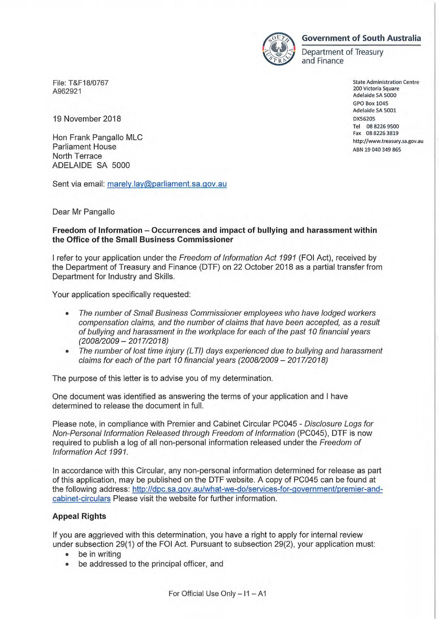

## **Government of South Australia**

Department of Treasury and Finance

File: T&F18/0767 A962921

19 November 2018

Hon Frank Pangallo MLC Parliament House North Terrace ADELAIDE SA 5000

Sent via email: marely.lay@parliament.sa.gov.au

Dear Mr Pangallo

## **Freedom of Information - Occurrences and impact of bullying and harassment within the Office of the Small Business Commissioner**

I refer to your application under the Freedom of Information Act 1991 (FOI Act), received by the Department of Treasury and Finance (DTF) on 22 October 2018 as a partial transfer from Department for Industry and Skills.

Your application specifically requested:

- The number of Small Business Commissioner employees who have lodged workers compensation claims, and the number of claims that have been accepted, as a result of bullying and harassment in the workplace for each of the past 10 financial years (2008/2009- 2017/2018)
- The number of lost time injury (LTI) days experienced due to bullying and harassment claims for each of the part 10 financial years  $(2008/2009 - 2017/2018)$

The purpose of this letter is to advise you of my determination.

One document was identified as answering the terms of your application and I have determined to release the document in full.

Please note, in compliance with Premier and Cabinet Circular PC045 - Disclosure Logs for Non-Personal Information Released through Freedom of Information (PC045), DTF is now required to publish a log of all non-personal information released under the Freedom of Information Act 1991.

In accordance with this Circular, any non-personal information determined for release as part of this application, may be published on the DTF website. A copy of PC045 can be found at the following address: http://dpc.sa.gov.au/what-we-do/services-for-government/premier-andcabinet-circulars Please visit the website for further information.

## **Appeal Rights**

If you are aggrieved with this determination, you have a right to apply for internal review under subsection 29(1) of the FOI Act. Pursuant to subsection 29(2), your application must:

- be in writing
- be addressed to the principal officer, and

State Administration Centre 200 Victoria Square Adelaide SA 5000 GPO Box 1045 Adelaide SA 5001 DXS6205 Tel 08 8226 9500 Fax 08 8226 3819 http://www.treasury.sa.gov.au ABN 19 040 349 865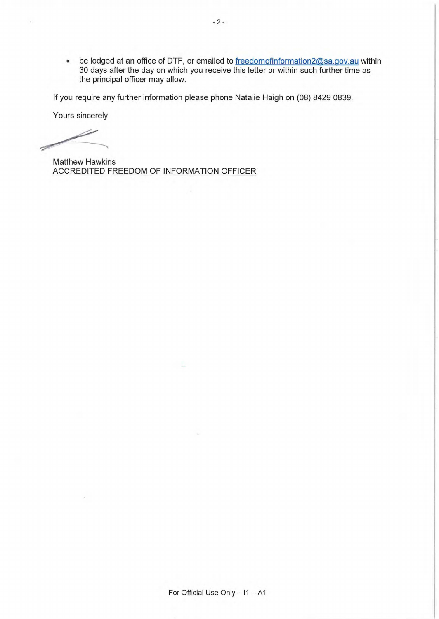• be lodged at an office of DTF, or emailed to freedomofinformation2@sa.gov.au within 30 days after the day on which you receive this letter or within such further time as the principal officer may allow.

If you require any further information please phone Natalie Haigh on (08) 8429 0839.

i.

Yours sincerely

Matthew Hawkins ACCREDITED FREEDOM OF INFORMATION OFFICER

For Official Use Only  $- 11 - A1$